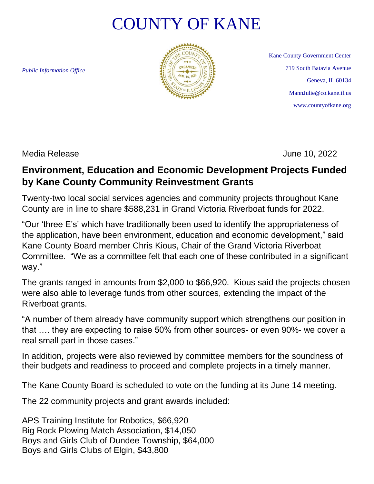## COUNTY OF KANE

*Public Information Office*



Kane County Government Center 719 South Batavia Avenue Geneva, IL 60134 MannJulie@co.kane.il.us www.countyofkane.org

Media Release June 10, 2022

## **Environment, Education and Economic Development Projects Funded by Kane County Community Reinvestment Grants**

Twenty-two local social services agencies and community projects throughout Kane County are in line to share \$588,231 in Grand Victoria Riverboat funds for 2022.

"Our 'three E's' which have traditionally been used to identify the appropriateness of the application, have been environment, education and economic development," said Kane County Board member Chris Kious, Chair of the Grand Victoria Riverboat Committee. "We as a committee felt that each one of these contributed in a significant way."

The grants ranged in amounts from \$2,000 to \$66,920. Kious said the projects chosen were also able to leverage funds from other sources, extending the impact of the Riverboat grants.

"A number of them already have community support which strengthens our position in that …. they are expecting to raise 50% from other sources- or even 90%- we cover a real small part in those cases."

In addition, projects were also reviewed by committee members for the soundness of their budgets and readiness to proceed and complete projects in a timely manner.

The Kane County Board is scheduled to vote on the funding at its June 14 meeting.

The 22 community projects and grant awards included:

APS Training Institute for Robotics, \$66,920 Big Rock Plowing Match Association, \$14,050 Boys and Girls Club of Dundee Township, \$64,000 Boys and Girls Clubs of Elgin, \$43,800